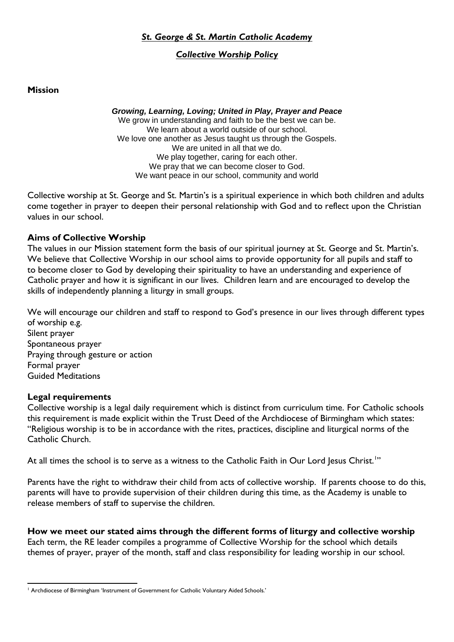## *St. George & St. Martin Catholic Academy*

# *Collective Worship Policy*

**Mission**

*Growing, Learning, Loving; United in Play, Prayer and Peace* We grow in understanding and faith to be the best we can be. We learn about a world outside of our school. We love one another as Jesus taught us through the Gospels. We are united in all that we do. We play together, caring for each other. We pray that we can become closer to God. We want peace in our school, community and world

Collective worship at St. George and St. Martin's is a spiritual experience in which both children and adults come together in prayer to deepen their personal relationship with God and to reflect upon the Christian values in our school.

## **Aims of Collective Worship**

The values in our Mission statement form the basis of our spiritual journey at St. George and St. Martin's. We believe that Collective Worship in our school aims to provide opportunity for all pupils and staff to to become closer to God by developing their spirituality to have an understanding and experience of Catholic prayer and how it is significant in our lives. Children learn and are encouraged to develop the skills of independently planning a liturgy in small groups.

We will encourage our children and staff to respond to God's presence in our lives through different types of worship e.g. Silent prayer Spontaneous prayer Praying through gesture or action Formal prayer

Guided Meditations

## **Legal requirements**

Collective worship is a legal daily requirement which is distinct from curriculum time. For Catholic schools this requirement is made explicit within the Trust Deed of the Archdiocese of Birmingham which states: "Religious worship is to be in accordance with the rites, practices, discipline and liturgical norms of the Catholic Church.

At all times the school is to serve as a witness to the Catholic Faith in Our Lord Jesus Christ.<sup>1</sup>"

Parents have the right to withdraw their child from acts of collective worship. If parents choose to do this, parents will have to provide supervision of their children during this time, as the Academy is unable to release members of staff to supervise the children.

**How we meet our stated aims through the different forms of liturgy and collective worship** Each term, the RE leader compiles a programme of Collective Worship for the school which details themes of prayer, prayer of the month, staff and class responsibility for leading worship in our school.

**<sup>.</sup>** <sup>1</sup> Archdiocese of Birmingham 'Instrument of Government for Catholic Voluntary Aided Schools.'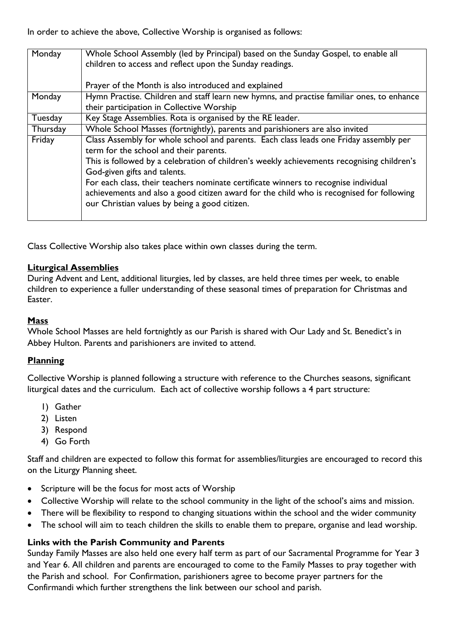In order to achieve the above, Collective Worship is organised as follows:

| Monday   | Whole School Assembly (led by Principal) based on the Sunday Gospel, to enable all<br>children to access and reflect upon the Sunday readings. |
|----------|------------------------------------------------------------------------------------------------------------------------------------------------|
|          | Prayer of the Month is also introduced and explained                                                                                           |
| Monday   | Hymn Practise. Children and staff learn new hymns, and practise familiar ones, to enhance                                                      |
|          | their participation in Collective Worship                                                                                                      |
| Tuesday  | Key Stage Assemblies. Rota is organised by the RE leader.                                                                                      |
| Thursday | Whole School Masses (fortnightly), parents and parishioners are also invited                                                                   |
| Friday   | Class Assembly for whole school and parents. Each class leads one Friday assembly per                                                          |
|          | term for the school and their parents.                                                                                                         |
|          | This is followed by a celebration of children's weekly achievements recognising children's<br>God-given gifts and talents.                     |
|          | For each class, their teachers nominate certificate winners to recognise individual                                                            |
|          | achievements and also a good citizen award for the child who is recognised for following                                                       |
|          | our Christian values by being a good citizen.                                                                                                  |
|          |                                                                                                                                                |

Class Collective Worship also takes place within own classes during the term.

## **Liturgical Assemblies**

During Advent and Lent, additional liturgies, led by classes, are held three times per week, to enable children to experience a fuller understanding of these seasonal times of preparation for Christmas and Easter.

## **Mass**

Whole School Masses are held fortnightly as our Parish is shared with Our Lady and St. Benedict's in Abbey Hulton. Parents and parishioners are invited to attend.

## **Planning**

Collective Worship is planned following a structure with reference to the Churches seasons, significant liturgical dates and the curriculum. Each act of collective worship follows a 4 part structure:

- 1) Gather
- 2) Listen
- 3) Respond
- 4) Go Forth

Staff and children are expected to follow this format for assemblies/liturgies are encouraged to record this on the Liturgy Planning sheet.

- Scripture will be the focus for most acts of Worship
- Collective Worship will relate to the school community in the light of the school's aims and mission.
- There will be flexibility to respond to changing situations within the school and the wider community
- The school will aim to teach children the skills to enable them to prepare, organise and lead worship.

## **Links with the Parish Community and Parents**

Sunday Family Masses are also held one every half term as part of our Sacramental Programme for Year 3 and Year 6. All children and parents are encouraged to come to the Family Masses to pray together with the Parish and school. For Confirmation, parishioners agree to become prayer partners for the Confirmandi which further strengthens the link between our school and parish.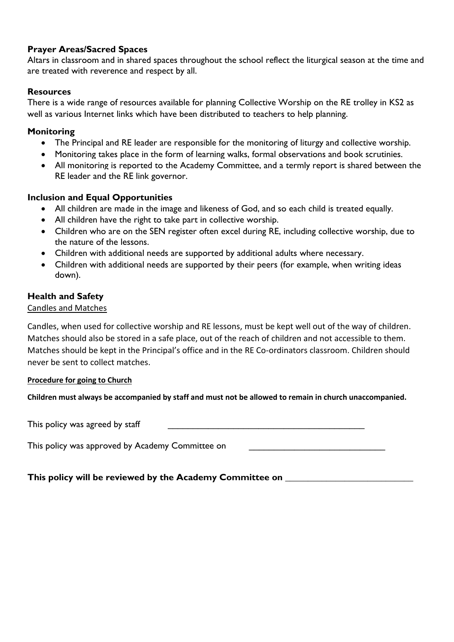# **Prayer Areas/Sacred Spaces**

Altars in classroom and in shared spaces throughout the school reflect the liturgical season at the time and are treated with reverence and respect by all.

# **Resources**

There is a wide range of resources available for planning Collective Worship on the RE trolley in KS2 as well as various Internet links which have been distributed to teachers to help planning.

# **Monitoring**

- The Principal and RE leader are responsible for the monitoring of liturgy and collective worship.
- Monitoring takes place in the form of learning walks, formal observations and book scrutinies.
- All monitoring is reported to the Academy Committee, and a termly report is shared between the RE leader and the RE link governor.

## **Inclusion and Equal Opportunities**

- All children are made in the image and likeness of God, and so each child is treated equally.
- All children have the right to take part in collective worship.
- Children who are on the SEN register often excel during RE, including collective worship, due to the nature of the lessons.
- Children with additional needs are supported by additional adults where necessary.
- Children with additional needs are supported by their peers (for example, when writing ideas down).

## **Health and Safety**

#### Candles and Matches

Candles, when used for collective worship and RE lessons, must be kept well out of the way of children. Matches should also be stored in a safe place, out of the reach of children and not accessible to them. Matches should be kept in the Principal's office and in the RE Co-ordinators classroom. Children should never be sent to collect matches.

#### **Procedure for going to Church**

**Children must always be accompanied by staff and must not be allowed to remain in church unaccompanied.**

This policy was agreed by staff

This policy was approved by Academy Committee on

**This policy will be reviewed by the Academy Committee on \_\_\_\_\_\_\_\_\_\_\_\_\_\_\_\_\_\_\_\_\_\_\_\_\_\_\_\_**